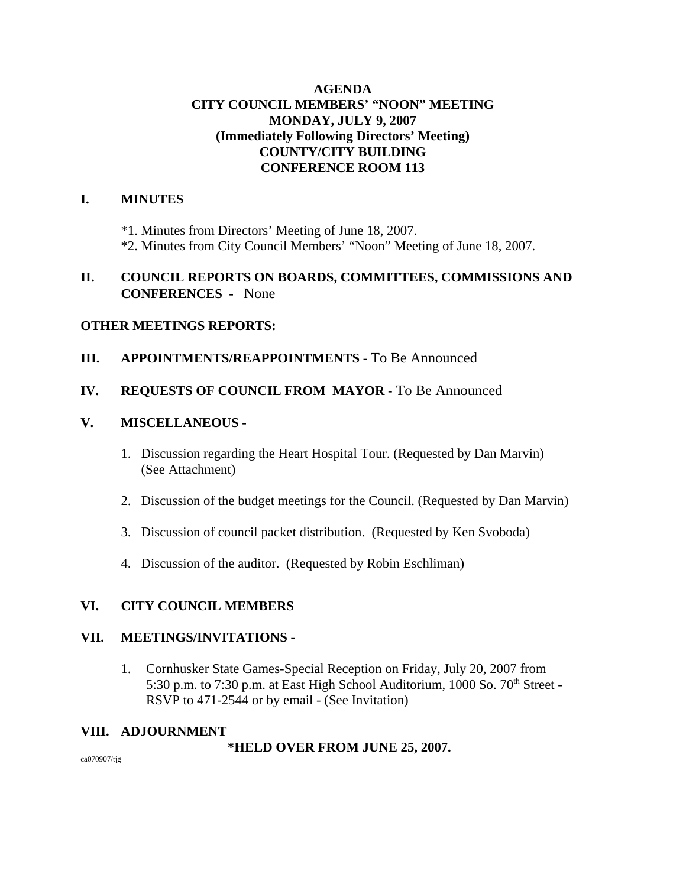## **AGENDA CITY COUNCIL MEMBERS' "NOON" MEETING MONDAY, JULY 9, 2007 (Immediately Following Directors' Meeting) COUNTY/CITY BUILDING CONFERENCE ROOM 113**

# **I. MINUTES**

\*1. Minutes from Directors' Meeting of June 18, 2007. \*2. Minutes from City Council Members' "Noon" Meeting of June 18, 2007.

#### **II. COUNCIL REPORTS ON BOARDS, COMMITTEES, COMMISSIONS AND CONFERENCES -** None

#### **OTHER MEETINGS REPORTS:**

#### **III.** APPOINTMENTS/REAPPOINTMENTS - To Be Announced

#### **IV. REQUESTS OF COUNCIL FROM MAYOR -** To Be Announced

#### **V. MISCELLANEOUS -**

- 1. Discussion regarding the Heart Hospital Tour. (Requested by Dan Marvin) (See Attachment)
- 2. Discussion of the budget meetings for the Council. (Requested by Dan Marvin)
- 3. Discussion of council packet distribution. (Requested by Ken Svoboda)
- 4. Discussion of the auditor. (Requested by Robin Eschliman)

# **VI. CITY COUNCIL MEMBERS**

#### **VII. MEETINGS/INVITATIONS** -

1. Cornhusker State Games-Special Reception on Friday, July 20, 2007 from 5:30 p.m. to 7:30 p.m. at East High School Auditorium,  $1000$  So.  $70<sup>th</sup>$  Street -RSVP to 471-2544 or by email - (See Invitation)

#### **VIII. ADJOURNMENT**

#### **\*HELD OVER FROM JUNE 25, 2007.**

ca070907/tjg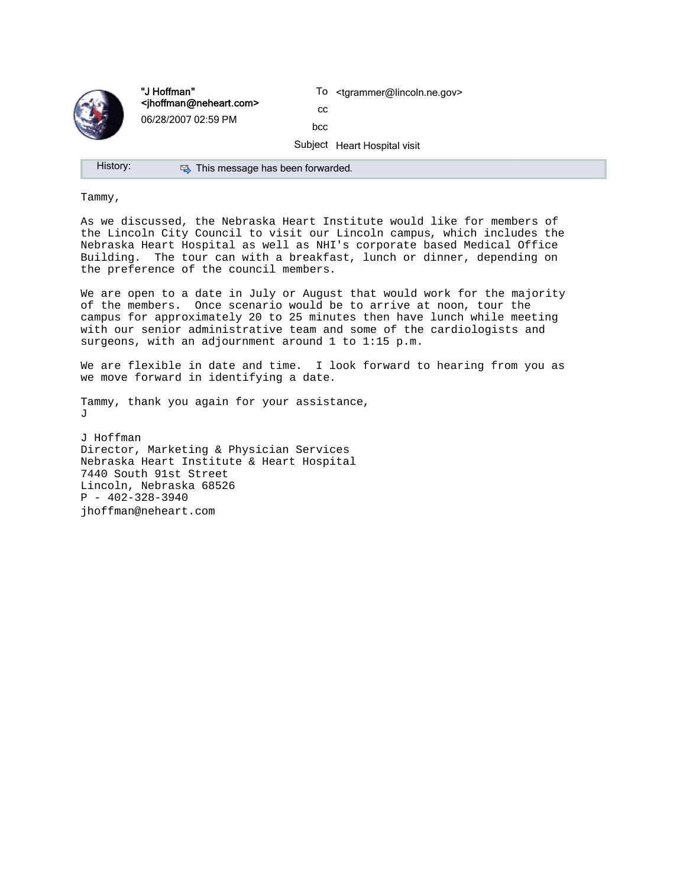

"J Hoffman" <jhoffman@neheart.com> 06/28/2007 02:59 PM

To <tgrammer@lincoln.ne.gov>

cc bcc

Subject Heart Hospital visit

History: **E** This message has been forwarded.

Tammy,

As we discussed, the Nebraska Heart Institute would like for members of the Lincoln City Council to visit our Lincoln campus, which includes the Nebraska Heart Hospital as well as NHI's corporate based Medical Office Building. The tour can with a breakfast, lunch or dinner, depending on the preference of the council members.

We are open to a date in July or August that would work for the majority of the members. Once scenario would be to arrive at noon, tour the campus for approximately 20 to 25 minutes then have lunch while meeting with our senior administrative team and some of the cardiologists and surgeons, with an adjournment around 1 to 1:15 p.m.

We are flexible in date and time. I look forward to hearing from you as we move forward in identifying a date.

Tammy, thank you again for your assistance,  $J$ 

J Hoffman Director, Marketing & Physician Services Nebraska Heart Institute & Heart Hospital 7440 South 91st Street Lincoln, Nebraska 68526  $P - 402 - 328 - 3940$ jhoffman@neheart.com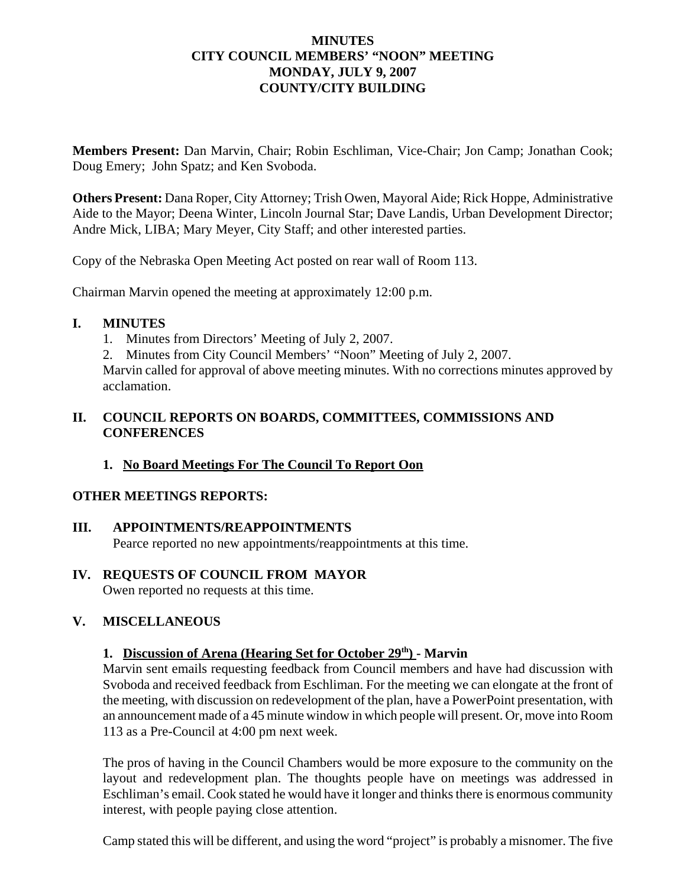#### **MINUTES CITY COUNCIL MEMBERS' "NOON" MEETING MONDAY, JULY 9, 2007 COUNTY/CITY BUILDING**

**Members Present:** Dan Marvin, Chair; Robin Eschliman, Vice-Chair; Jon Camp; Jonathan Cook; Doug Emery; John Spatz; and Ken Svoboda.

**Others Present:** Dana Roper, City Attorney; Trish Owen, Mayoral Aide; Rick Hoppe, Administrative Aide to the Mayor; Deena Winter, Lincoln Journal Star; Dave Landis, Urban Development Director; Andre Mick, LIBA; Mary Meyer, City Staff; and other interested parties.

Copy of the Nebraska Open Meeting Act posted on rear wall of Room 113.

Chairman Marvin opened the meeting at approximately 12:00 p.m.

#### **I. MINUTES**

1. Minutes from Directors' Meeting of July 2, 2007.

2. Minutes from City Council Members' "Noon" Meeting of July 2, 2007.

Marvin called for approval of above meeting minutes. With no corrections minutes approved by acclamation.

# **II. COUNCIL REPORTS ON BOARDS, COMMITTEES, COMMISSIONS AND CONFERENCES**

# **1. No Board Meetings For The Council To Report Oon**

# **OTHER MEETINGS REPORTS:**

# **III. APPOINTMENTS/REAPPOINTMENTS**

Pearce reported no new appointments/reappointments at this time.

# **IV. REQUESTS OF COUNCIL FROM MAYOR**

Owen reported no requests at this time.

# **V. MISCELLANEOUS**

#### **1. Discussion of Arena (Hearing Set for October 29th) - Marvin**

Marvin sent emails requesting feedback from Council members and have had discussion with Svoboda and received feedback from Eschliman. For the meeting we can elongate at the front of the meeting, with discussion on redevelopment of the plan, have a PowerPoint presentation, with an announcement made of a 45 minute window in which people will present. Or, move into Room 113 as a Pre-Council at 4:00 pm next week.

The pros of having in the Council Chambers would be more exposure to the community on the layout and redevelopment plan. The thoughts people have on meetings was addressed in Eschliman's email. Cook stated he would have it longer and thinks there is enormous community interest, with people paying close attention.

Camp stated this will be different, and using the word "project" is probably a misnomer. The five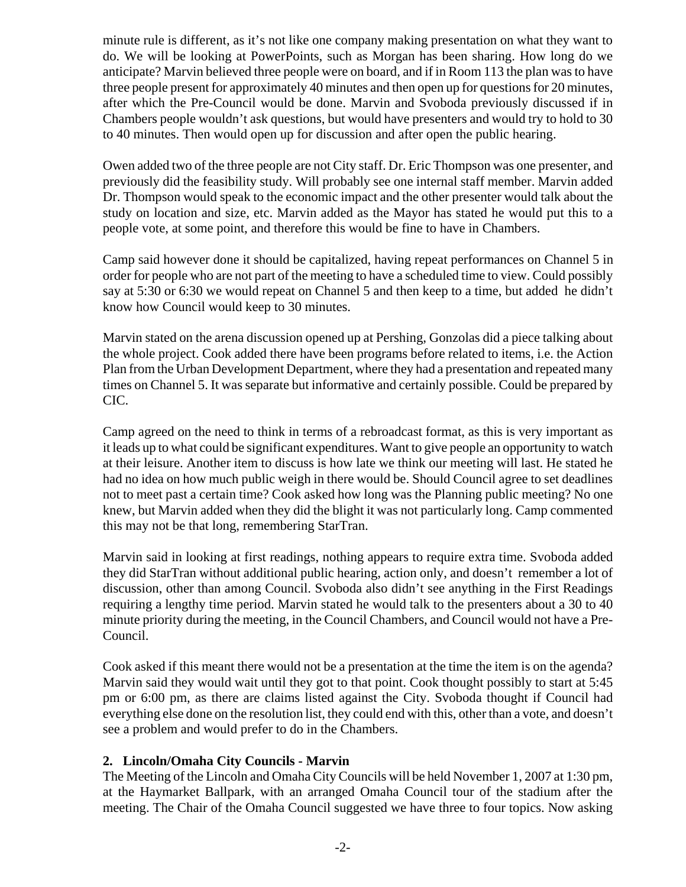minute rule is different, as it's not like one company making presentation on what they want to do. We will be looking at PowerPoints, such as Morgan has been sharing. How long do we anticipate? Marvin believed three people were on board, and if in Room 113 the plan was to have three people present for approximately 40 minutes and then open up for questions for 20 minutes, after which the Pre-Council would be done. Marvin and Svoboda previously discussed if in Chambers people wouldn't ask questions, but would have presenters and would try to hold to 30 to 40 minutes. Then would open up for discussion and after open the public hearing.

Owen added two of the three people are not City staff. Dr. Eric Thompson was one presenter, and previously did the feasibility study. Will probably see one internal staff member. Marvin added Dr. Thompson would speak to the economic impact and the other presenter would talk about the study on location and size, etc. Marvin added as the Mayor has stated he would put this to a people vote, at some point, and therefore this would be fine to have in Chambers.

Camp said however done it should be capitalized, having repeat performances on Channel 5 in order for people who are not part of the meeting to have a scheduled time to view. Could possibly say at 5:30 or 6:30 we would repeat on Channel 5 and then keep to a time, but added he didn't know how Council would keep to 30 minutes.

Marvin stated on the arena discussion opened up at Pershing, Gonzolas did a piece talking about the whole project. Cook added there have been programs before related to items, i.e. the Action Plan from the Urban Development Department, where they had a presentation and repeated many times on Channel 5. It was separate but informative and certainly possible. Could be prepared by CIC.

Camp agreed on the need to think in terms of a rebroadcast format, as this is very important as it leads up to what could be significant expenditures. Want to give people an opportunity to watch at their leisure. Another item to discuss is how late we think our meeting will last. He stated he had no idea on how much public weigh in there would be. Should Council agree to set deadlines not to meet past a certain time? Cook asked how long was the Planning public meeting? No one knew, but Marvin added when they did the blight it was not particularly long. Camp commented this may not be that long, remembering StarTran.

Marvin said in looking at first readings, nothing appears to require extra time. Svoboda added they did StarTran without additional public hearing, action only, and doesn't remember a lot of discussion, other than among Council. Svoboda also didn't see anything in the First Readings requiring a lengthy time period. Marvin stated he would talk to the presenters about a 30 to 40 minute priority during the meeting, in the Council Chambers, and Council would not have a Pre-Council.

Cook asked if this meant there would not be a presentation at the time the item is on the agenda? Marvin said they would wait until they got to that point. Cook thought possibly to start at 5:45 pm or 6:00 pm, as there are claims listed against the City. Svoboda thought if Council had everything else done on the resolution list, they could end with this, other than a vote, and doesn't see a problem and would prefer to do in the Chambers.

# **2. Lincoln/Omaha City Councils - Marvin**

The Meeting of the Lincoln and Omaha City Councils will be held November 1, 2007 at 1:30 pm, at the Haymarket Ballpark, with an arranged Omaha Council tour of the stadium after the meeting. The Chair of the Omaha Council suggested we have three to four topics. Now asking